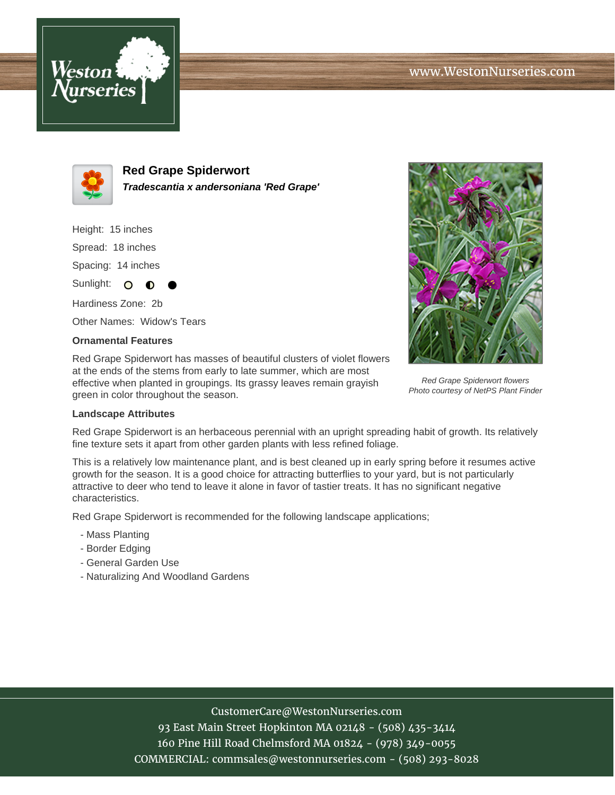



**Red Grape Spiderwort Tradescantia x andersoniana 'Red Grape'**

Height: 15 inches Spread: 18 inches

Spacing: 14 inches

Sunlight: O ∩

Hardiness Zone: 2b Other Names: Widow's Tears

## **Ornamental Features**

Red Grape Spiderwort has masses of beautiful clusters of violet flowers at the ends of the stems from early to late summer, which are most effective when planted in groupings. Its grassy leaves remain grayish green in color throughout the season.



Red Grape Spiderwort flowers Photo courtesy of NetPS Plant Finder

## **Landscape Attributes**

Red Grape Spiderwort is an herbaceous perennial with an upright spreading habit of growth. Its relatively fine texture sets it apart from other garden plants with less refined foliage.

This is a relatively low maintenance plant, and is best cleaned up in early spring before it resumes active growth for the season. It is a good choice for attracting butterflies to your yard, but is not particularly attractive to deer who tend to leave it alone in favor of tastier treats. It has no significant negative characteristics.

Red Grape Spiderwort is recommended for the following landscape applications;

- Mass Planting
- Border Edging
- General Garden Use
- Naturalizing And Woodland Gardens

## CustomerCare@WestonNurseries.com

93 East Main Street Hopkinton MA 02148 - (508) 435-3414 160 Pine Hill Road Chelmsford MA 01824 - (978) 349-0055 COMMERCIAL: commsales@westonnurseries.com - (508) 293-8028